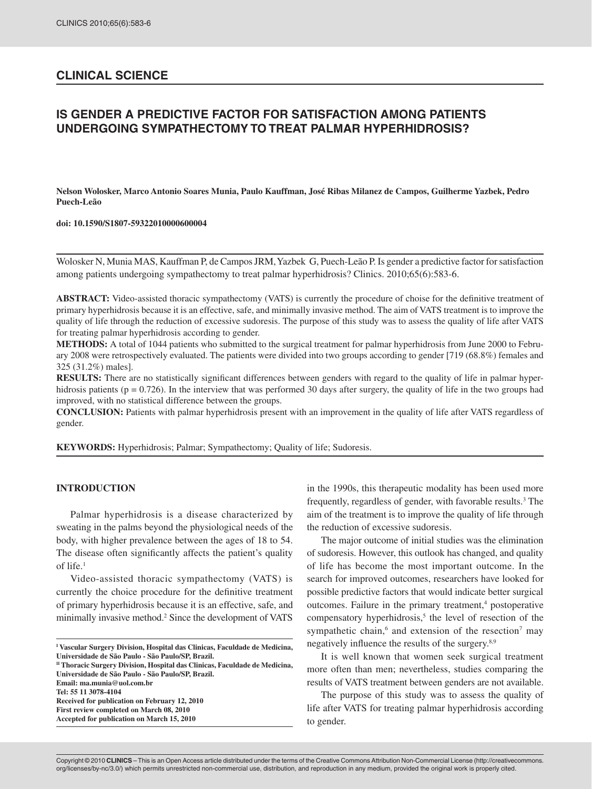## **CLINICAL SCIENCE**

# **IS GENDER A PREDICTIVE FACTOR FOR SATISFACTION AMONG PATIENTS UNDERGOING SYMPATHECTOMY TO TREAT PALMAR HYPERHIDROSIS?**

**Nelson Wolosker, Marco Antonio Soares Munia, Paulo Kauffman, José Ribas Milanez de Campos, Guilherme Yazbek, Pedro Puech-Leão**

**doi: 10.1590/S1807-59322010000600004**

Wolosker N, Munia MAS, Kauffman P, de Campos JRM, Yazbek G, Puech-Leão P. Is gender a predictive factor for satisfaction among patients undergoing sympathectomy to treat palmar hyperhidrosis? Clinics. 2010;65(6):583-6.

**ABSTRACT:** Video-assisted thoracic sympathectomy (VATS) is currently the procedure of choise for the definitive treatment of primary hyperhidrosis because it is an effective, safe, and minimally invasive method. The aim of VATS treatment is to improve the quality of life through the reduction of excessive sudoresis. The purpose of this study was to assess the quality of life after VATS for treating palmar hyperhidrosis according to gender.

**METHODS:** A total of 1044 patients who submitted to the surgical treatment for palmar hyperhidrosis from June 2000 to February 2008 were retrospectively evaluated. The patients were divided into two groups according to gender [719 (68.8%) females and 325 (31.2%) males].

**RESULTS:** There are no statistically significant differences between genders with regard to the quality of life in palmar hyperhidrosis patients (p = 0.726). In the interview that was performed 30 days after surgery, the quality of life in the two groups had improved, with no statistical difference between the groups.

**CONCLUSION:** Patients with palmar hyperhidrosis present with an improvement in the quality of life after VATS regardless of gender.

**KEYWORDS:** Hyperhidrosis; Palmar; Sympathectomy; Quality of life; Sudoresis.

#### **INTRODUCTION**

Palmar hyperhidrosis is a disease characterized by sweating in the palms beyond the physiological needs of the body, with higher prevalence between the ages of 18 to 54. The disease often significantly affects the patient's quality of life.1

Video-assisted thoracic sympathectomy (VATS) is currently the choice procedure for the definitive treatment of primary hyperhidrosis because it is an effective, safe, and minimally invasive method.<sup>2</sup> Since the development of VATS

**Received for publication on February 12, 2010 First review completed on March 08, 2010**

in the 1990s, this therapeutic modality has been used more frequently, regardless of gender, with favorable results.<sup>3</sup> The aim of the treatment is to improve the quality of life through the reduction of excessive sudoresis.

The major outcome of initial studies was the elimination of sudoresis. However, this outlook has changed, and quality of life has become the most important outcome. In the search for improved outcomes, researchers have looked for possible predictive factors that would indicate better surgical outcomes. Failure in the primary treatment,<sup>4</sup> postoperative  $compensatory hyperhidrosis, <sup>5</sup>$  the level of resection of the sympathetic chain, $6$  and extension of the resection<sup>7</sup> may negatively influence the results of the surgery.<sup>8,9</sup>

It is well known that women seek surgical treatment more often than men; nevertheless, studies comparing the results of VATS treatment between genders are not available.

The purpose of this study was to assess the quality of life after VATS for treating palmar hyperhidrosis according to gender.

**I Vascular Surgery Division, Hospital das Clinicas, Faculdade de Medicina, Universidade de São Paulo - São Paulo/SP, Brazil.**

**II Thoracic Surgery Division, Hospital das Clinicas, Faculdade de Medicina, Universidade de São Paulo - São Paulo/SP, Brazil. Email: ma.munia@uol.com.br Tel: 55 11 3078-4104**

**Accepted for publication on March 15, 2010**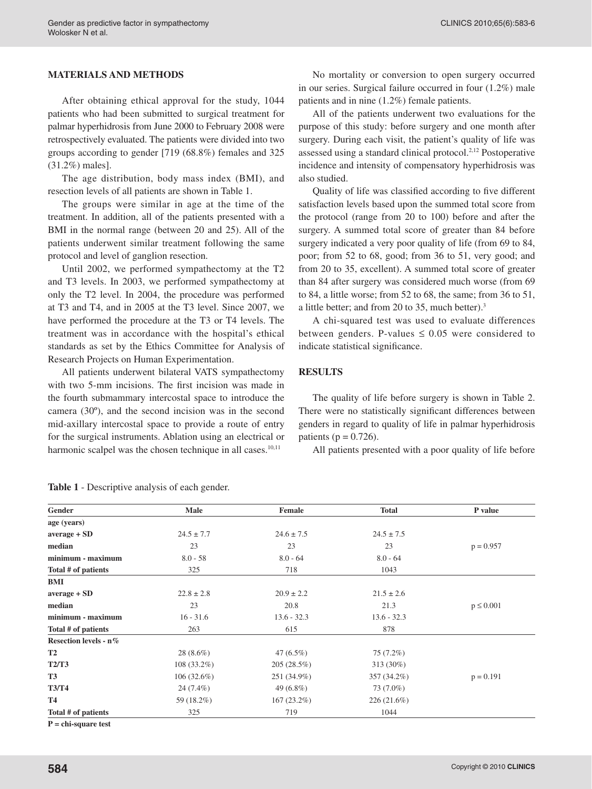### **MATERIALS AND METHODS**

After obtaining ethical approval for the study, 1044 patients who had been submitted to surgical treatment for palmar hyperhidrosis from June 2000 to February 2008 were retrospectively evaluated. The patients were divided into two groups according to gender [719 (68.8%) females and 325 (31.2%) males].

The age distribution, body mass index (BMI), and resection levels of all patients are shown in Table 1.

The groups were similar in age at the time of the treatment. In addition, all of the patients presented with a BMI in the normal range (between 20 and 25). All of the patients underwent similar treatment following the same protocol and level of ganglion resection.

Until 2002, we performed sympathectomy at the T2 and T3 levels. In 2003, we performed sympathectomy at only the T2 level. In 2004, the procedure was performed at T3 and T4, and in 2005 at the T3 level. Since 2007, we have performed the procedure at the T3 or T4 levels. The treatment was in accordance with the hospital's ethical standards as set by the Ethics Committee for Analysis of Research Projects on Human Experimentation.

All patients underwent bilateral VATS sympathectomy with two 5-mm incisions. The first incision was made in the fourth submammary intercostal space to introduce the camera (30º), and the second incision was in the second mid-axillary intercostal space to provide a route of entry for the surgical instruments. Ablation using an electrical or harmonic scalpel was the chosen technique in all cases.<sup>10,11</sup>

No mortality or conversion to open surgery occurred in our series. Surgical failure occurred in four (1.2%) male patients and in nine (1.2%) female patients.

All of the patients underwent two evaluations for the purpose of this study: before surgery and one month after surgery. During each visit, the patient's quality of life was assessed using a standard clinical protocol.2,12 Postoperative incidence and intensity of compensatory hyperhidrosis was also studied.

Quality of life was classified according to five different satisfaction levels based upon the summed total score from the protocol (range from 20 to 100) before and after the surgery. A summed total score of greater than 84 before surgery indicated a very poor quality of life (from 69 to 84, poor; from 52 to 68, good; from 36 to 51, very good; and from 20 to 35, excellent). A summed total score of greater than 84 after surgery was considered much worse (from 69 to 84, a little worse; from 52 to 68, the same; from 36 to 51, a little better; and from 20 to 35, much better).<sup>3</sup>

A chi-squared test was used to evaluate differences between genders. P-values  $\leq 0.05$  were considered to indicate statistical significance.

#### **RESULTS**

The quality of life before surgery is shown in Table 2. There were no statistically significant differences between genders in regard to quality of life in palmar hyperhidrosis patients ( $p = 0.726$ ).

All patients presented with a poor quality of life before

| Gender                | <b>Male</b>    | <b>Female</b>  | <b>Total</b>   | P value        |
|-----------------------|----------------|----------------|----------------|----------------|
| age (years)           |                |                |                |                |
| average + SD          | $24.5 \pm 7.7$ | $24.6 \pm 7.5$ | $24.5 \pm 7.5$ |                |
| median                | 23             | 23             | 23             | $p = 0.957$    |
| minimum - maximum     | $8.0 - 58$     | $8.0 - 64$     | $8.0 - 64$     |                |
| Total # of patients   | 325            | 718            | 1043           |                |
| BMI                   |                |                |                |                |
| $average + SD$        | $22.8 \pm 2.8$ | $20.9 \pm 2.2$ | $21.5 \pm 2.6$ |                |
| median                | 23             | 20.8           | 21.3           | $p \leq 0.001$ |
| minimum - maximum     | $16 - 31.6$    | $13.6 - 32.3$  | $13.6 - 32.3$  |                |
| Total # of patients   | 263            | 615            | 878            |                |
| Resection levels - n% |                |                |                |                |
| <b>T2</b>             | $28(8.6\%)$    | $47(6.5\%)$    | 75 (7.2%)      |                |
| <b>T2/T3</b>          | $108(33.2\%)$  | 205(28.5%)     | 313 (30%)      |                |
| <b>T3</b>             | $106(32.6\%)$  | 251 (34.9%)    | 357 (34.2%)    | $p = 0.191$    |
| <b>T3/T4</b>          | 24 (7.4%)      | 49 $(6.8\%)$   | 73 (7.0%)      |                |
| <b>T4</b>             | 59 (18.2%)     | 167(23.2%)     | $226(21.6\%)$  |                |
| Total # of patients   | 325            | 719            | 1044           |                |

**Table 1** - Descriptive analysis of each gender.

**P = chi-square test**

Copyright © 2010 **CLINICS**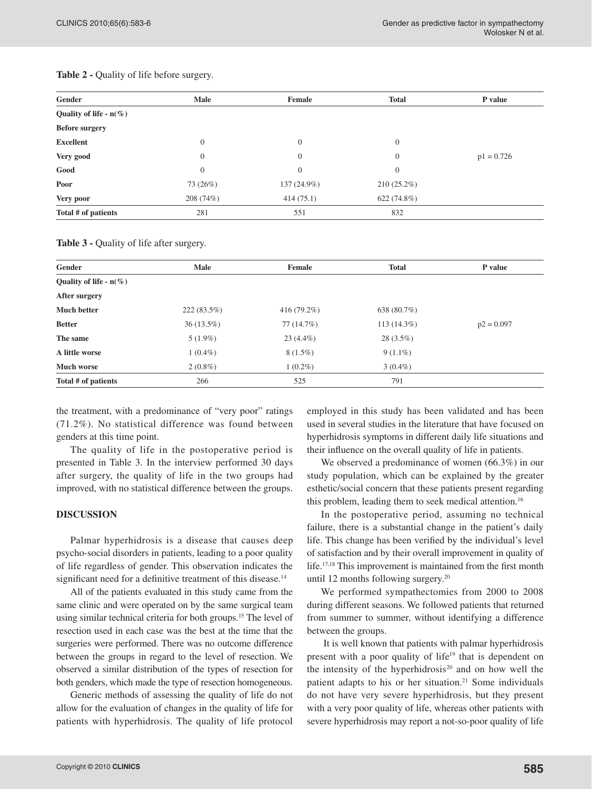| Gender                    | Male      | Female         | <b>Total</b>  | P value      |
|---------------------------|-----------|----------------|---------------|--------------|
| Quality of life - $n(\%)$ |           |                |               |              |
| <b>Before surgery</b>     |           |                |               |              |
| <b>Excellent</b>          | $\theta$  | $\overline{0}$ | $\mathbf{0}$  |              |
| Very good                 | $\theta$  | $\theta$       | $\theta$      | $p1 = 0.726$ |
| Good                      | $\theta$  | $\theta$       | $\theta$      |              |
| Poor                      | 73 (26%)  | 137 (24.9%)    | $210(25.2\%)$ |              |
| Very poor                 | 208 (74%) | 414(75.1)      | 622 (74.8%)   |              |
| Total # of patients       | 281       | 551            | 832           |              |

#### Table 2 - Quality of life before surgery.

Table 3 - Quality of life after surgery.

| Gender                    | Male          | <b>Female</b> | <b>Total</b>  | P value      |
|---------------------------|---------------|---------------|---------------|--------------|
| Quality of life - $n(\%)$ |               |               |               |              |
| After surgery             |               |               |               |              |
| <b>Much better</b>        | $222(83.5\%)$ | $416(79.2\%)$ | 638 (80.7%)   |              |
| <b>Better</b>             | $36(13.5\%)$  | 77 (14.7%)    | $113(14.3\%)$ | $p2 = 0.097$ |
| The same                  | $5(1.9\%)$    | $23(4.4\%)$   | $28(3.5\%)$   |              |
| A little worse            | $1(0.4\%)$    | $8(1.5\%)$    | $9(1.1\%)$    |              |
| <b>Much worse</b>         | $2(0.8\%)$    | $1(0.2\%)$    | $3(0.4\%)$    |              |
| Total # of patients       | 266           | 525           | 791           |              |

the treatment, with a predominance of "very poor" ratings (71.2%). No statistical difference was found between genders at this time point.

The quality of life in the postoperative period is presented in Table 3. In the interview performed 30 days after surgery, the quality of life in the two groups had improved, with no statistical difference between the groups.

#### **DISCUSSION**

Palmar hyperhidrosis is a disease that causes deep psycho-social disorders in patients, leading to a poor quality of life regardless of gender. This observation indicates the significant need for a definitive treatment of this disease.<sup>14</sup>

All of the patients evaluated in this study came from the same clinic and were operated on by the same surgical team using similar technical criteria for both groups.15 The level of resection used in each case was the best at the time that the surgeries were performed. There was no outcome difference between the groups in regard to the level of resection. We observed a similar distribution of the types of resection for both genders, which made the type of resection homogeneous.

Generic methods of assessing the quality of life do not allow for the evaluation of changes in the quality of life for patients with hyperhidrosis. The quality of life protocol employed in this study has been validated and has been used in several studies in the literature that have focused on hyperhidrosis symptoms in different daily life situations and their influence on the overall quality of life in patients.

We observed a predominance of women (66.3%) in our study population, which can be explained by the greater esthetic/social concern that these patients present regarding this problem, leading them to seek medical attention.<sup>16</sup>

In the postoperative period, assuming no technical failure, there is a substantial change in the patient's daily life. This change has been verified by the individual's level of satisfaction and by their overall improvement in quality of life.17,18 This improvement is maintained from the first month until 12 months following surgery.<sup>20</sup>

We performed sympathectomies from 2000 to 2008 during different seasons. We followed patients that returned from summer to summer, without identifying a difference between the groups.

 It is well known that patients with palmar hyperhidrosis present with a poor quality of life<sup>19</sup> that is dependent on the intensity of the hyperhidrosis $20$  and on how well the patient adapts to his or her situation.<sup>21</sup> Some individuals do not have very severe hyperhidrosis, but they present with a very poor quality of life, whereas other patients with severe hyperhidrosis may report a not-so-poor quality of life